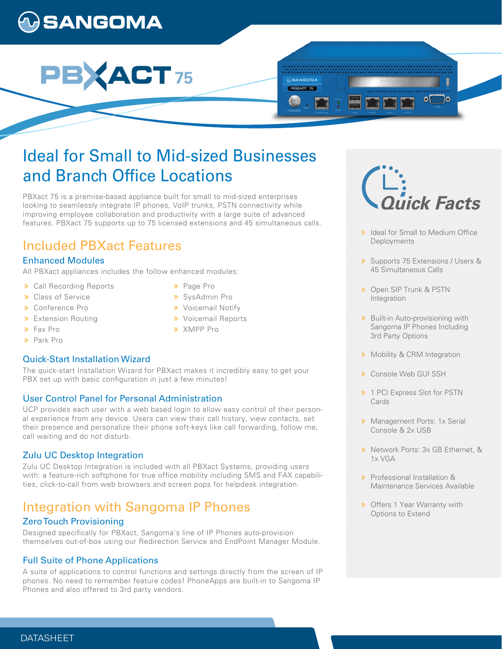# **SANGOMA**

# **ACT** 75

# Ideal for Small to Mid-sized Businesses and Branch Office Locations

PBXact 75 is a premise-based appliance built for small to mid-sized enterprises looking to seamlessly integrate IP phones, VoIP trunks, PSTN connectivity while improving employee collaboration and productivity with a large suite of advanced features. PBXact 75 supports up to 75 licensed extensions and 45 simultaneous calls.

## Included PBXact Features

#### Enhanced Modules

All PBXact appliances includes the follow enhanced modules:

- Call Recording Reports
- **>>** Class of Service
- Conference Pro
- **>** Extension Routing
- Fax Pro
- Park Pro

#### Quick-Start Installation Wizard

The quick-start Installation Wizard for PBXact makes it incredibly easy to get your PBX set up with basic configuration in just a few minutes!

#### User Control Panel for Personal Administration

UCP provides each user with a web based login to allow easy control of their personal experience from any device. Users can view their call history, view contacts, set their presence and personalize their phone soft-keys like call forwarding, follow me, call waiting and do not disturb.

#### Zulu UC Desktop Integration

Zulu UC Desktop Integration is included with all PBXact Systems, providing users with: a feature-rich softphone for true office mobility including SMS and FAX capabilities, click-to-call from web browsers and screen pops for helpdesk integration.

## Integration with Sangoma IP Phones

#### Zero Touch Provisioning

Designed specifically for PBXact, Sangoma's line of IP Phones auto-provision themselves out-of-box using our Redirection Service and EndPoint Manager Module.

#### Full Suite of Phone Applications

A suite of applications to control functions and settings directly from the screen of IP phones. No need to remember feature codes! PhoneApps are built-in to Sangoma IP Phones and also offered to 3rd party vendors.

- > Page Pro
- SysAdmin Pro
- **»** Voicemail Notify
- **»** Voicemail Reports

**@SANGOMA** PEXACT 75

XMPP Pro

i<br>ick Facts

०ि

ৗ৹

- > Ideal for Small to Medium Office **Deployments**
- Supports 75 Extensions / Users & 45 Simultaneous Calls
- **»** Open SIP Trunk & PSTN Integration
- **»** Built-in Auto-provisioning with Sangoma IP Phones Including 3rd Party Options
- **»** Mobility & CRM Integration
- Console Web GUI SSH
- > 1 PCI Express Slot for PSTN Cards
- **»** Management Ports: 1x Serial Console & 2x USB
- **»** Network Ports: 3x GB Ethernet, & 1x VGA
- Professional Installation & Maintenance Services Available
- **»** Offers 1 Year Warranty with Options to Extend